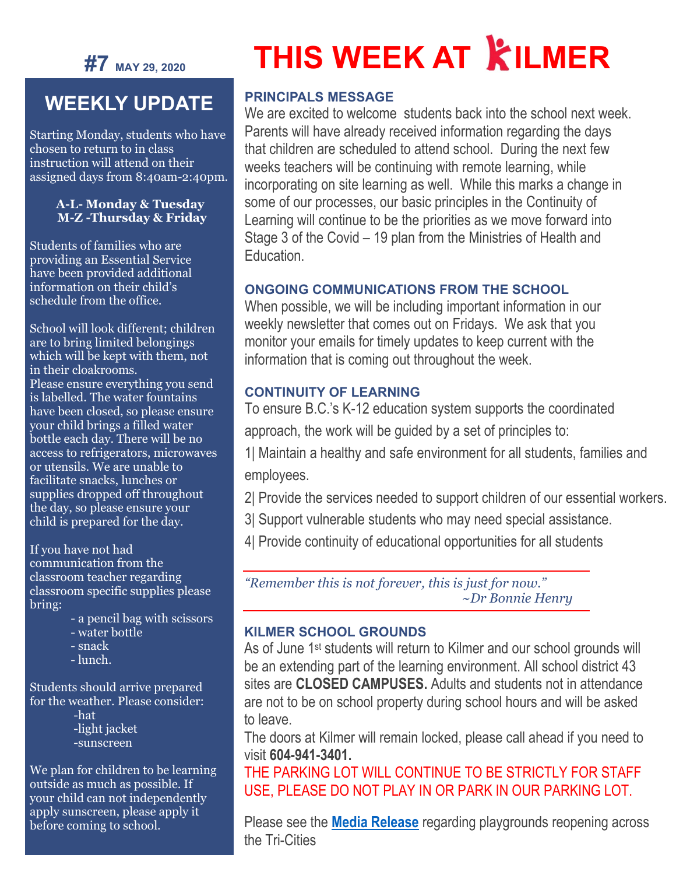

## **WEEKLY UPDATE**

Starting Monday, students who have chosen to return to in class instruction will attend on their assigned days from 8:40am-2:40pm.

#### **A-L- Monday & Tuesday M-Z -Thursday & Friday**

Students of families who are providing an Essential Service have been provided additional information on their child's schedule from the office.

School will look different; children are to bring limited belongings which will be kept with them, not in their cloakrooms. Please ensure everything you send is labelled. The water fountains have been closed, so please ensure your child brings a filled water bottle each day. There will be no access to refrigerators, microwaves or utensils. We are unable to facilitate snacks, lunches or supplies dropped off throughout the day, so please ensure your child is prepared for the day.

If you have not had communication from the classroom teacher regarding classroom specific supplies please bring:

- a pencil bag with scissors
- water bottle
- snack
- lunch.

Students should arrive prepared for the weather. Please consider:

-hat

 -light jacket -sunscreen

We plan for children to be learning outside as much as possible. If your child can not independently apply sunscreen, please apply it before coming to school.

# **THIS WEEK AT KILMER**

#### **PRINCIPALS MESSAGE**

We are excited to welcome students back into the school next week. Parents will have already received information regarding the days that children are scheduled to attend school. During the next few weeks teachers will be continuing with remote learning, while incorporating on site learning as well. While this marks a change in some of our processes, our basic principles in the Continuity of Learning will continue to be the priorities as we move forward into Stage 3 of the Covid – 19 plan from the Ministries of Health and Education.

#### **ONGOING COMMUNICATIONS FROM THE SCHOOL**

When possible, we will be including important information in our weekly newsletter that comes out on Fridays. We ask that you monitor your emails for timely updates to keep current with the information that is coming out throughout the week.

#### **CONTINUITY OF LEARNING**

To ensure B.C.'s K-12 education system supports the coordinated

approach, the work will be guided by a set of principles to:

1| Maintain a healthy and safe environment for all students, families and employees.

2| Provide the services needed to support children of our essential workers.

- 3| Support vulnerable students who may need special assistance.
- 4| Provide continuity of educational opportunities for all students

*"Remember this is not forever, this is just for now." ~Dr Bonnie Henry*

#### **KILMER SCHOOL GROUNDS**

As of June 1<sup>st</sup> students will return to Kilmer and our school grounds will be an extending part of the learning environment. All school district 43 sites are **CLOSED CAMPUSES.** Adults and students not in attendance are not to be on school property during school hours and will be asked to leave.

The doors at Kilmer will remain locked, please call ahead if you need to visit **604-941-3401.**

THE PARKING LOT WILL CONTINUE TO BE STRICTLY FOR STAFF USE, PLEASE DO NOT PLAY IN OR PARK IN OUR PARKING LOT.

Please see the **[Media Release](https://sd43bcca-my.sharepoint.com/:b:/g/personal/bleavold_sd43_bc_ca/EciDowwHUGZNq2p8xbKs3CcBrxkDS8muBPRWArth6tgGiQ?e=fTkVYJ)** regarding playgrounds reopening across the Tri-Cities